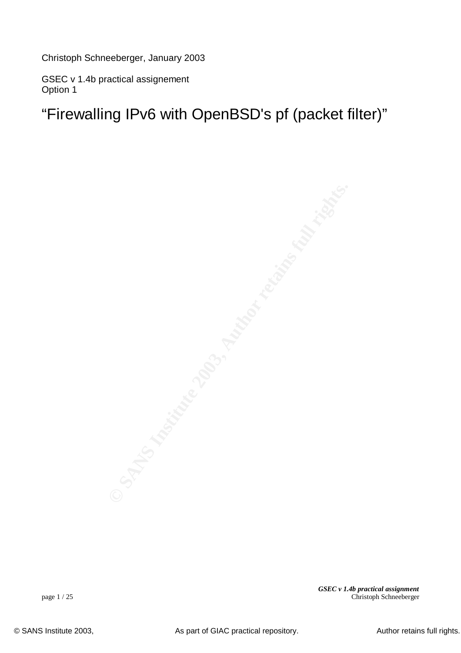Christoph Schneeberger, January 2003

GSEC v 1.4b practical assignement Option 1

"Firewalling IPv6 with OpenBSD's pf (packet filter)"

*GSEC v 1.4b practical assignment* page 1 / 25 Christoph Schneeberger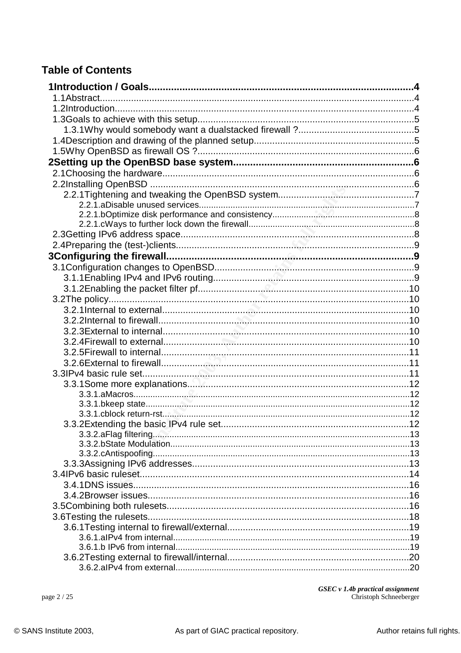## **Table of Contents**

page 2 / 25

 $GSEC \nu 1.4b\,practical\, assignment$ <br>Christoph Schneeberger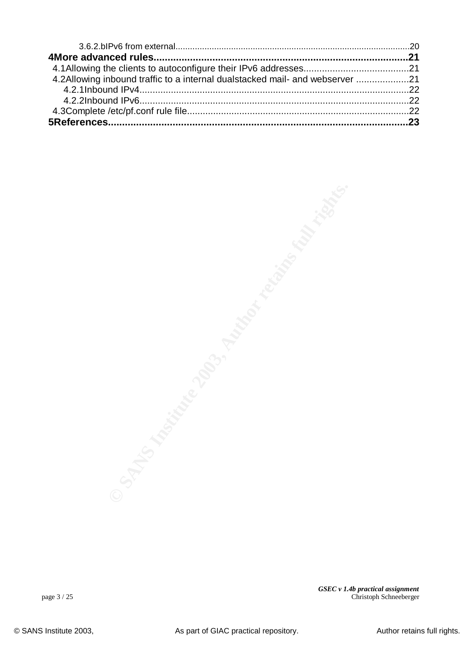| 4.2Allowing inbound traffic to a internal dualstacked mail- and webserver 21 |  |
|------------------------------------------------------------------------------|--|
|                                                                              |  |
|                                                                              |  |
|                                                                              |  |
|                                                                              |  |

*GSEC v 1.4b practical assignment* page 3 / 25 Christoph Schneeberger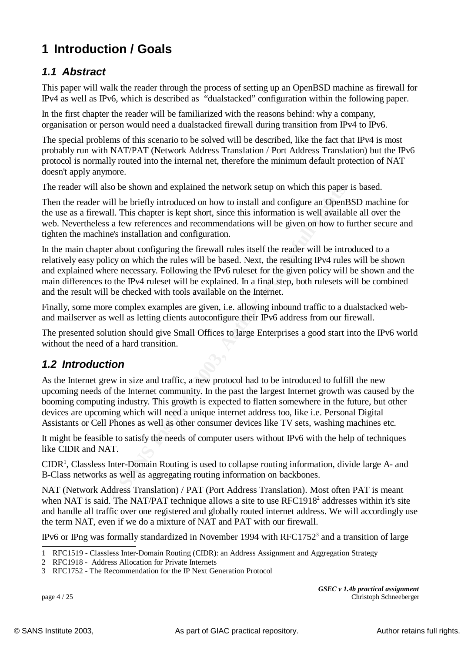# **1 Introduction / Goals**

## *1.1 Abstract*

IPv4 as well as IPv6, which is described as "dualstacked" configuration within the following paper. This paper will walk the reader through the process of setting up an OpenBSD machine as firewall for

In the first chapter the reader will be familiarized with the reasons behind: why a company, organisation or person would need a dualstacked firewall during transition from IPv4 to IPv6.

The special problems of this scenario to be solved will be described, like the fact that IPv4 is most probably run with NAT/PAT (Network Address Translation / Port Address Translation) but the IPv6 protocol is normally routed into the internal net, therefore the minimum default protection of NAT doesn't apply anymore.

The reader will also be shown and explained the network setup on which this paper is based.

Then the reader will be briefly introduced on how to install and configure an OpenBSD machine for the use as a firewall. This chapter is kept short, since this information is well available all over the web. Nevertheless a few references and recommendations will be given on how to further secure and tighten the machine's installation and configuration.

In the main chapter about configuring the firewall rules itself the reader will be introduced to a relatively easy policy on which the rules will be based. Next, the resulting IPv4 rules will be shown and explained where necessary. Following the IPv6 ruleset for the given policy will be shown and the main differences to the IPv4 ruleset will be explained. In a final step, both rulesets will be combined and the result will be checked with tools available on the Internet.

Finally, some more complex examples are given, i.e. allowing inbound traffic to a dualstacked weband mailserver as well as letting clients autoconfigure their IPv6 address from our firewall.

The presented solution should give Small Offices to large Enterprises a good start into the IPv6 world without the need of a hard transition.

### *1.2 Introduction*

so be shown and explauned the network setup on which this paper<br>
iil be briefly introduced on how to install and configure an OpenB<br>
ill. This chapter is kept short, since this information is well available<br>
a few referenc As the Internet grew in size and traffic, a new protocol had to be introduced to fulfill the new upcoming needs of the Internet community. In the past the largest Internet growth was caused by the booming computing industry. This growth is expected to flatten somewhere in the future, but other devices are upcoming which will need a unique internet address too, like i.e. Personal Digital Assistants or Cell Phones as well as other consumer devices like TV sets, washing machines etc.

It might be feasible to satisfy the needs of computer users without IPv6 with the help of techniques like CIDR and NAT.

CIDR<sup>1</sup>, Classless Inter-Domain Routing is used to collapse routing information, divide large A- and B-Class networks as well as aggregating routing information on backbones.

NAT (Network Address Translation) / PAT (Port Address Translation). Most often PAT is meant when NAT is said. The NAT/PAT technique allows a site to use  $RFC1918<sup>2</sup>$  addresses within it's site and handle all traffic over one registered and globally routed internet address. We will accordingly use the term NAT, even if we do a mixture of NAT and PAT with our firewall.

IPv6 or IPng was formally standardized in November 1994 with RFC1752<sup>3</sup> and a transition of large

*GSEC v 1.4b practical assignment* page 4 / 25 Christoph Schneeberger

<sup>1</sup> RFC1519 - Classless Inter-Domain Routing (CIDR): an Address Assignment and Aggregation Strategy

<sup>2</sup> RFC1918 - Address Allocation for Private Internets

<sup>3</sup> RFC1752 - The Recommendation for the IP Next Generation Protocol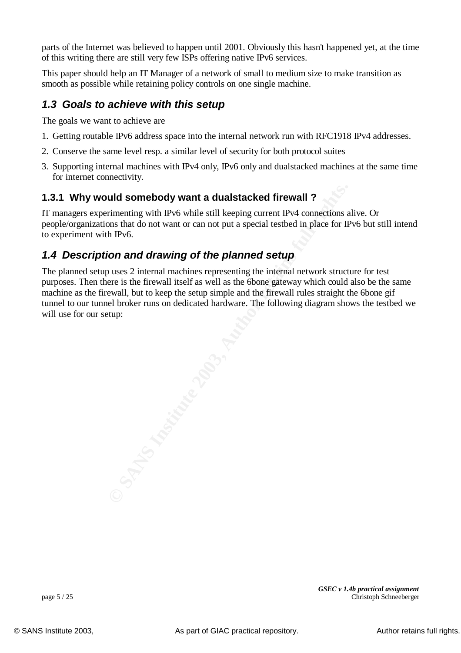parts of the Internet was believed to happen until 2001. Obviously this hasn't happened yet, at the time of this writing there are still very few ISPs offering native IPv6 services.

This paper should help an IT Manager of a network of small to medium size to make transition as smooth as possible while retaining policy controls on one single machine.

## **1.3 Goals to achieve with this setup**

The goals we want to achieve are

- 1. Getting routable IPv6 address space into the internal network run with RFC1918 IPv4 addresses.
- 2. Conserve the same level resp. a similar level of security for both protocol suites
- 3. Supporting internal machines with IPv4 only, IPv6 only and dualstacked machines at the same time for internet connectivity.

### **1.3.1 Why would somebody want a dualstacked firewall ?**

IT managers experimenting with IPv6 while still keeping current IPv4 connections alive. Or people/organizations that do not want or can not put a special testbed in place for IPv6 but still intend to experiment with IPv6.

### *1.4 Description and drawing of the planned setup*

**CONSIDENT WART A CONSIDE SET AND SET AND SET AND SET AND SET AND SET AND NOTE AN INTERFERIT SOMETHER ASSAUTE AND ARRANGED TO APPROVE A SHOW THE SAMPLE OF THE SAMPLE OF THE SAMPLE OF THE SAMPLE OF THE SAMPLE THE SAMPLE STA** The planned setup uses 2 internal machines representing the internal network structure for test purposes. Then there is the firewall itself as well as the 6bone gateway which could also be the same machine as the firewall, but to keep the setup simple and the firewall rules straight the 6bone gif tunnel to our tunnel broker runs on dedicated hardware. The following diagram shows the testbed we will use for our setup: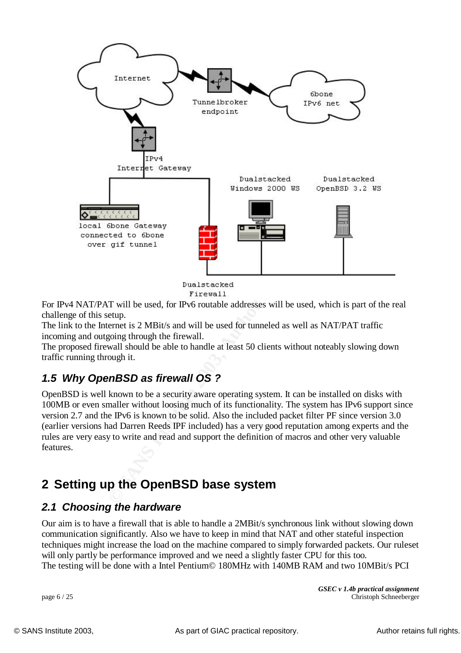

For IPv4 NAT/PAT will be used, for IPv6 routable addresses will be used, which is part of the real challenge of this setup.

The link to the Internet is 2 MBit/s and will be used for tunneled as well as NAT/PAT traffic incoming and outgoing through the firewall.

The proposed firewall should be able to handle at least 50 clients without noteably slowing down traffic running through it.

## *1.5 Why OpenBSD as firewall OS ?*

OpenBSD is well known to be a security aware operating system. It can be installed on disks with 100MB or even smaller without loosing much of its functionality. The system has IPv6 support since version 2.7 and the IPv6 is known to be solid. Also the included packet filter PF since version 3.0 (earlier versions had Darren Reeds IPF included) has a very good reputation among experts and the rules are very easy to write and read and support the definition of macros and other very valuable features.

## **2 Setting up the OpenBSD base system**

### *2.1 Choosing the hardware*

Our aim is to have a firewall that is able to handle a 2MBit/s synchronous link without slowing down communication significantly. Also we have to keep in mind that NAT and other stateful inspection techniques might increase the load on the machine compared to simply forwarded packets. Our ruleset will only partly be performance improved and we need a slightly faster CPU for this too. The testing will be done with a Intel Pentium© 180MHz with 140MB RAM and two 10MBit/s PCI

*GSEC v 1.4b practical assignment* page 6 / 25 Christoph Schneeberger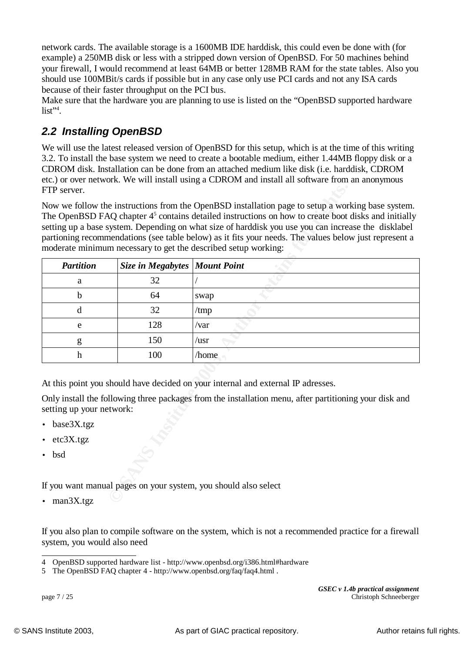network cards. The available storage is a 1600MB IDE harddisk, this could even be done with (for example) a 250MB disk or less with a stripped down version of OpenBSD. For 50 machines behind your firewall, I would recommend at least 64MB or better 128MB RAM for the state tables. Also you should use 100MBit/s cards if possible but in any case only use PCI cards and not any ISA cards because of their faster throughput on the PCI bus.

Make sure that the hardware you are planning to use is listed on the "OpenBSD supported hardware  $list^{"4}.$ 

## *2.2 Installing OpenBSD*

We will use the latest released version of OpenBSD for this setup, which is at the time of this writing 3.2. To install the base system we need to create a bootable medium, either 1.44MB floppy disk or a CDROM disk. Installation can be done from an attached medium like disk (i.e. harddisk, CDROM etc.) or over network. We will install using a CDROM and install all software from an anonymous FTP server.

| FTP server.              |                               |                                                                                                                                                                                                                                                                                                                                                                                                                                                                                                        |  |  |
|--------------------------|-------------------------------|--------------------------------------------------------------------------------------------------------------------------------------------------------------------------------------------------------------------------------------------------------------------------------------------------------------------------------------------------------------------------------------------------------------------------------------------------------------------------------------------------------|--|--|
|                          |                               | Now we follow the instructions from the OpenBSD installation page to setup a working base system.<br>The OpenBSD FAQ chapter 4 <sup>5</sup> contains detailed instructions on how to create boot disks and initially<br>setting up a base system. Depending on what size of harddisk you use you can increase the disklabel<br>partioning recommendations (see table below) as it fits your needs. The values below just represent a<br>moderate minimum necessary to get the described setup working: |  |  |
| <b>Partition</b>         | Size in Megabytes Mount Point |                                                                                                                                                                                                                                                                                                                                                                                                                                                                                                        |  |  |
| a                        | 32                            |                                                                                                                                                                                                                                                                                                                                                                                                                                                                                                        |  |  |
| $\mathbf b$              | 64                            | swap                                                                                                                                                                                                                                                                                                                                                                                                                                                                                                   |  |  |
| d                        | 32                            | /tmp                                                                                                                                                                                                                                                                                                                                                                                                                                                                                                   |  |  |
| e                        | 128                           | $\sqrt{var}$                                                                                                                                                                                                                                                                                                                                                                                                                                                                                           |  |  |
| g                        | 150                           | $\sqrt{usr}$                                                                                                                                                                                                                                                                                                                                                                                                                                                                                           |  |  |
| $\boldsymbol{h}$         | 100                           | /home                                                                                                                                                                                                                                                                                                                                                                                                                                                                                                  |  |  |
| setting up your network: |                               | At this point you should have decided on your internal and external IP adresses.<br>Only install the following three packages from the installation menu, after partitioning your disk and                                                                                                                                                                                                                                                                                                             |  |  |
| base3X.tgz               |                               |                                                                                                                                                                                                                                                                                                                                                                                                                                                                                                        |  |  |
| etc3X.tgz                |                               |                                                                                                                                                                                                                                                                                                                                                                                                                                                                                                        |  |  |
| bsd<br>$\bullet$         |                               |                                                                                                                                                                                                                                                                                                                                                                                                                                                                                                        |  |  |
|                          |                               | If you want manual pages on your system, you should also select                                                                                                                                                                                                                                                                                                                                                                                                                                        |  |  |
| $\cdot$ man3X.tgz        |                               |                                                                                                                                                                                                                                                                                                                                                                                                                                                                                                        |  |  |

- base3X.tgz
- etc3X.tgz
- bsd

• man3X.tgz

If you also plan to compile software on the system, which is not a recommended practice for a firewall system, you would also need

*GSEC v 1.4b practical assignment* page 7 / 25 Christoph Schneeberger

<sup>4</sup> OpenBSD supported hardware list - http://www.openbsd.org/i386.html#hardware

<sup>5</sup> The OpenBSD FAQ chapter 4 - http://www.openbsd.org/faq/faq4.html .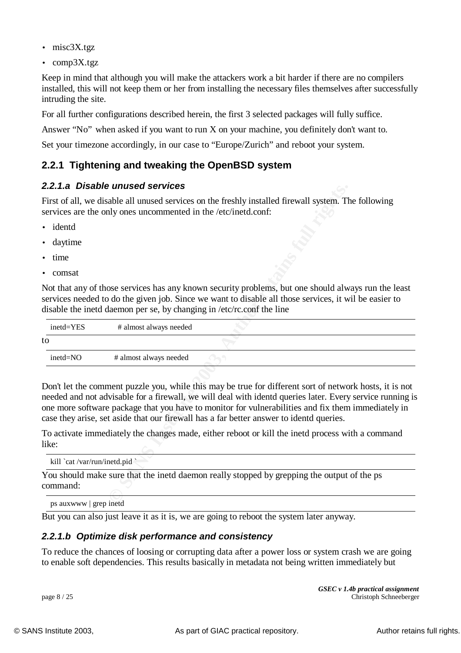- misc3X.tgz
- comp3X.tgz

 $\log$  the site. Keep in mind that although you will make the attackers work a bit harder if there are no compilers installed, this will not keep them or her from installing the necessary files themselves after successfully intruding the site.

For all further configurations described herein, the first 3 selected packages will fully suffice.

Answer "No" when asked if you want to run X on your machine, you definitely don't want to.

Set your timezone accordingly, in our case to "Europe/Zurich" and reboot your system.

### **2.2.1 Tightening and tweaking the OpenBSD system**

#### *2.2.1.a Disable unused services*

- identd
- daytime
- time
- comsat

|                                    | z.z. i.a   Disable unused services                                                                                                                                                                                                                                                                                                                                                                                    |
|------------------------------------|-----------------------------------------------------------------------------------------------------------------------------------------------------------------------------------------------------------------------------------------------------------------------------------------------------------------------------------------------------------------------------------------------------------------------|
|                                    | First of all, we disable all unused services on the freshly installed firewall system. The following<br>services are the only ones uncommented in the /etc/inetd.conf:                                                                                                                                                                                                                                                |
| identd                             |                                                                                                                                                                                                                                                                                                                                                                                                                       |
| daytime<br>$\bullet$               |                                                                                                                                                                                                                                                                                                                                                                                                                       |
| time                               |                                                                                                                                                                                                                                                                                                                                                                                                                       |
| comsat<br>$\bullet$                |                                                                                                                                                                                                                                                                                                                                                                                                                       |
|                                    | Not that any of those services has any known security problems, but one should always run the least<br>services needed to do the given job. Since we want to disable all those services, it wil be easier to<br>disable the inetd daemon per se, by changing in /etc/rc.conf the line                                                                                                                                 |
| inetd=YES                          | # almost always needed                                                                                                                                                                                                                                                                                                                                                                                                |
| to                                 |                                                                                                                                                                                                                                                                                                                                                                                                                       |
| inetd=NO                           | # almost always needed                                                                                                                                                                                                                                                                                                                                                                                                |
|                                    | Don't let the comment puzzle you, while this may be true for different sort of network hosts, it is not<br>needed and not advisable for a firewall, we will deal with identd queries later. Every service running is<br>one more software package that you have to monitor for vulnerabilities and fix them immediately in<br>case they arise, set aside that our firewall has a far better answer to identd queries. |
| like:                              | To activate immediately the changes made, either reboot or kill the inetd process with a command                                                                                                                                                                                                                                                                                                                      |
| kill `cat /var/run/inetd.pid `     |                                                                                                                                                                                                                                                                                                                                                                                                                       |
| command:                           | You should make sure that the inetd daemon really stopped by grepping the output of the ps                                                                                                                                                                                                                                                                                                                            |
| $\frac{1}{2}$ ns auxwww oren inetd |                                                                                                                                                                                                                                                                                                                                                                                                                       |

ps auxwww | grep inetd

But you can also just leave it as it is, we are going to reboot the system later anyway.

#### *2.2.1.b Optimize disk performance and consistency*

To reduce the chances of loosing or corrupting data after a power loss or system crash we are going to enable soft dependencies. This results basically in metadata not being written immediately but

*GSEC v 1.4b practical assignment* page 8 / 25 Christoph Schneeberger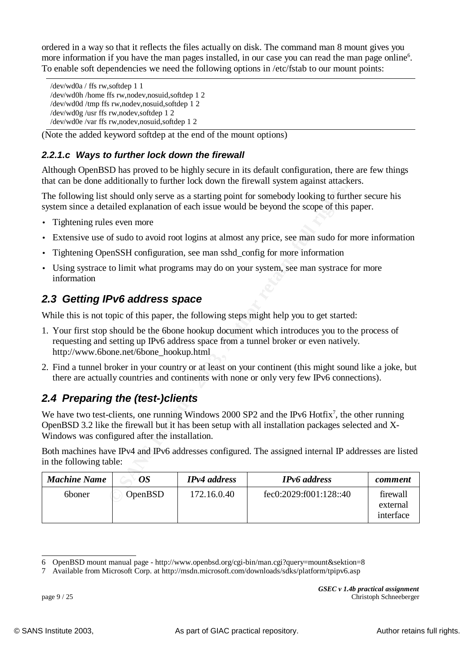ordered in a way so that it reflects the files actually on disk. The command man 8 mount gives you more information if you have the man pages installed, in our case you can read the man page online<sup>6</sup>. To enable soft dependencies we need the following options in /etc/fstab to our mount points:

```
\frac{X}{\text{dev}} wdon \frac{X}{\text{conv}} final \frac{X}{\text{rev}} is a X, \frac{X}{\text{cov}} and \frac{X}{\text{cov}} and \frac{X}{\text{cov}} and \frac{X}{\text{cov}} and \frac{X}{\text{cov}} and \frac{X}{\text{cov}} and \frac{X}{\text{cov}} and \frac{X}{\text{cov}} and \frac{X}{\text{cov}} and \frac{X}{\text/dev/wd0a / ffs rw,softdep 1 1
/dev/wd0h /home ffs rw,nodev,nosuid,softdep 1 2
/dev/wd0g /usr ffs rw,nodev,softdep 1 2
/dev/wd0e /var ffs rw,nodev,nosuid,softdep 1 2
```
(Note the added keyword softdep at the end of the mount options)

### *2.2.1.c Ways to further lock down the firewall*

Although OpenBSD has proved to be highly secure in its default configuration, there are few things that can be done additionally to further lock down the firewall system against attackers.

- Tightening rules even more
- Extensive use of sudo to avoid root logins at almost any price, see man sudo for more information
- Tightening OpenSSH configuration, see man sshd\_config for more information
- Using systrace to limit what programs may do on your system, see man systrace for more information

### *2.3 Getting IPv6 address space*

- 1. Your first stop should be the 6bone hookup document which introduces you to the process of requesting and setting up IPv6 address space from a tunnel broker or even natively. http://www.6bone.net/6bone\_hookup.html
- 2. Find a tunnel broker in your country or at least on your continent (this might sound like a joke, but there are actually countries and continents with none or only very few IPv6 connections).

## *2.4 Preparing the (test-)clients*

|                                                |                                        |                     | The following list should only serve as a starting point for somebody looking to further secure his<br>system since a detailed explanation of each issue would be beyond the scope of this paper.                 |                                   |
|------------------------------------------------|----------------------------------------|---------------------|-------------------------------------------------------------------------------------------------------------------------------------------------------------------------------------------------------------------|-----------------------------------|
| Tightening rules even more<br>$\bullet$        |                                        |                     |                                                                                                                                                                                                                   |                                   |
| $\bullet$                                      |                                        |                     | Extensive use of sudo to avoid root logins at almost any price, see man sudo for more information                                                                                                                 |                                   |
| $\bullet$                                      |                                        |                     | Tightening OpenSSH configuration, see man sshd_config for more information                                                                                                                                        |                                   |
| $\bullet$<br>information                       |                                        |                     | Using systrace to limit what programs may do on your system, see man systrace for more                                                                                                                            |                                   |
| 2.3 Getting IPv6 address space                 |                                        |                     |                                                                                                                                                                                                                   |                                   |
|                                                |                                        |                     | While this is not topic of this paper, the following steps might help you to get started:                                                                                                                         |                                   |
|                                                | http://www.6bone.net/6bone_hookup.html |                     | 1. Your first stop should be the 6bone hookup document which introduces you to the process of<br>requesting and setting up IPv6 address space from a tunnel broker or even natively.                              |                                   |
|                                                |                                        |                     | 2. Find a tunnel broker in your country or at least on your continent (this might sound like a joke, but<br>there are actually countries and continents with none or only very few IPv6 connections).             |                                   |
| 2.4 Preparing the (test-)clients               |                                        |                     |                                                                                                                                                                                                                   |                                   |
| Windows was configured after the installation. |                                        |                     | We have two test-clients, one running Windows 2000 SP2 and the IPv6 Hotfix <sup>7</sup> , the other running<br>OpenBSD 3.2 like the firewall but it has been setup with all installation packages selected and X- |                                   |
| in the following table:                        |                                        |                     | Both machines have IPv4 and IPv6 addresses configured. The assigned internal IP addresses are listed                                                                                                              |                                   |
| <b>Machine Name</b>                            | <b>OS</b>                              | <b>IPv4</b> address | <b>IPv6</b> address                                                                                                                                                                                               | comment                           |
| 6boner                                         | OpenBSD                                | 172.16.0.40         | fec0:2029:f001:128::40                                                                                                                                                                                            | firewall<br>external<br>interface |
|                                                |                                        |                     |                                                                                                                                                                                                                   |                                   |

<sup>6</sup> OpenBSD mount manual page - http://www.openbsd.org/cgi-bin/man.cgi?query=mount&sektion=8

<sup>7</sup> Available from Microsoft Corp. at http://msdn.microsoft.com/downloads/sdks/platform/tpipv6.asp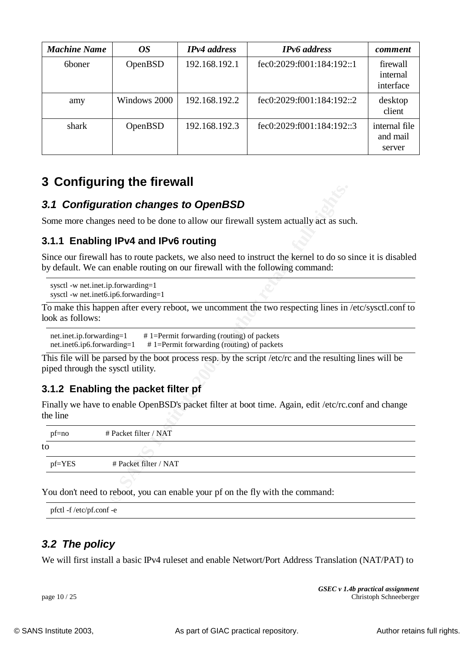| <b>Machine Name</b> | <i>OS</i>    | <b>IPv4</b> address | <b>IPv6</b> address       | comment                             |
|---------------------|--------------|---------------------|---------------------------|-------------------------------------|
| 6boner              | OpenBSD      | 192.168.192.1       | fec0:2029:001:184:192::1  | firewall<br>internal<br>interface   |
| amy                 | Windows 2000 | 192.168.192.2       | fec0:2029:f001:184:192::2 | desktop<br>client                   |
| shark<br>OpenBSD    |              | 192.168.192.3       | fec0:2029:001:184:192::3  | internal file<br>and mail<br>server |

## **3 Configuring the firewall**

### *3.1 Configuration changes to OpenBSD*

### **3.1.1 Enabling IPv4 and IPv6 routing**

### **3.1.2 Enabling the packet filter pf**

|                              | 3.1 Configuration changes to OpenBSD                                       |                                                                                                                                                                                             |
|------------------------------|----------------------------------------------------------------------------|---------------------------------------------------------------------------------------------------------------------------------------------------------------------------------------------|
|                              |                                                                            | Some more changes need to be done to allow our firewall system actually act as such.                                                                                                        |
|                              | 3.1.1 Enabling IPv4 and IPv6 routing                                       |                                                                                                                                                                                             |
|                              |                                                                            | Since our firewall has to route packets, we also need to instruct the kernel to do so since it is disabled<br>by default. We can enable routing on our firewall with the following command: |
|                              | sysctl -w net.inet.ip.forwarding=1<br>sysctl -w net.inet6.ip6.forwarding=1 |                                                                                                                                                                                             |
| look as follows:             |                                                                            | To make this happen after every reboot, we uncomment the two respecting lines in /etc/sysctl.conf to                                                                                        |
| $net.inet6.jp6.forwarding=1$ | net.inet.ip.forwarding=1 # 1=Permit forwarding (routing) of packets        | $# 1$ =Permit forwarding (routing) of packets                                                                                                                                               |
|                              | piped through the sysctl utility.                                          | This file will be parsed by the boot process resp. by the script /etc/rc and the resulting lines will be                                                                                    |
|                              | 3.1.2 Enabling the packet filter pf                                        |                                                                                                                                                                                             |
| the line                     |                                                                            | Finally we have to enable OpenBSD's packet filter at boot time. Again, edit /etc/rc.conf and change                                                                                         |
| $pf=no$                      | # Packet filter / NAT                                                      |                                                                                                                                                                                             |
| to                           |                                                                            |                                                                                                                                                                                             |
| pf=YES                       | # Packet filter / NAT                                                      |                                                                                                                                                                                             |
|                              |                                                                            | You don't need to reboot, you can enable your pf on the fly with the command:                                                                                                               |

pfctl -f /etc/pf.conf -e

### *3.2 The policy*

We will first install a basic IPv4 ruleset and enable Networt/Port Address Translation (NAT/PAT) to

*GSEC v 1.4b practical assignment* page 10 / 25 Christoph Schneeberger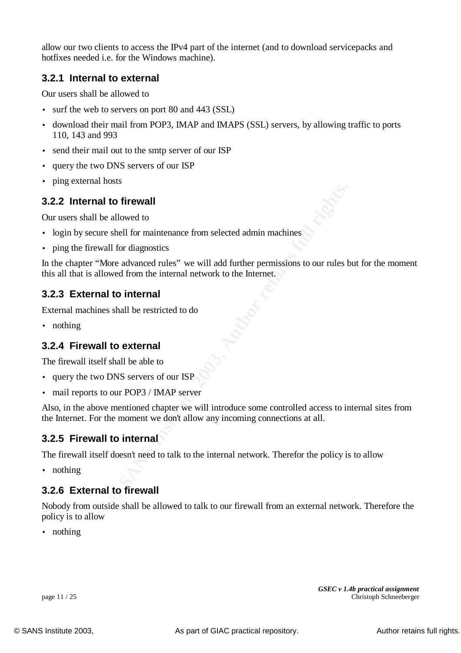allow our two clients to access the IPv4 part of the internet (and to download servicepacks and hotfixes needed i.e. for the Windows machine).

### **3.2.1 Internal to external**

 $\frac{1}{2}$  final be allowed to Our users shall be allowed to

- surf the web to servers on port 80 and 443 (SSL)
- download their mail from POP3, IMAP and IMAPS (SSL) servers, by allowing traffic to ports 110, 143 and 993
- send their mail out to the smtp server of our ISP
- query the two DNS servers of our ISP
- ping external hosts

#### **3.2.2 Internal to firewall**

Our users shall be allowed to

- login by secure shell for maintenance from selected admin machines
- ping the firewall for diagnostics

**to firewall**<br>allowed to<br>allowed to<br>flexer in allowed to<br>flexer in the maintenance from selected admin machines<br>fore advanced rules" we will add further permissions to our rules b<br>wed from the internal<br>**to internal**<br>shall In the chapter "More advanced rules" we will add further permissions to our rules but for the moment this all that is allowed from the internal network to the Internet.

#### **3.2.3 External to internal**

External machines shall be restricted to do

• nothing

#### **3.2.4 Firewall to external**

The firewall itself shall be able to

- query the two DNS servers of our ISP
- mail reports to our POP3 / IMAP server

Also, in the above mentioned chapter we will introduce some controlled access to internal sites from the Internet. For the moment we don't allow any incoming connections at all.

#### **3.2.5 Firewall to internal**

The firewall itself doesn't need to talk to the internal network. Therefor the policy is to allow

• nothing

#### **3.2.6 External to firewall**

Nobody from outside shall be allowed to talk to our firewall from an external network. Therefore the policy is to allow

• nothing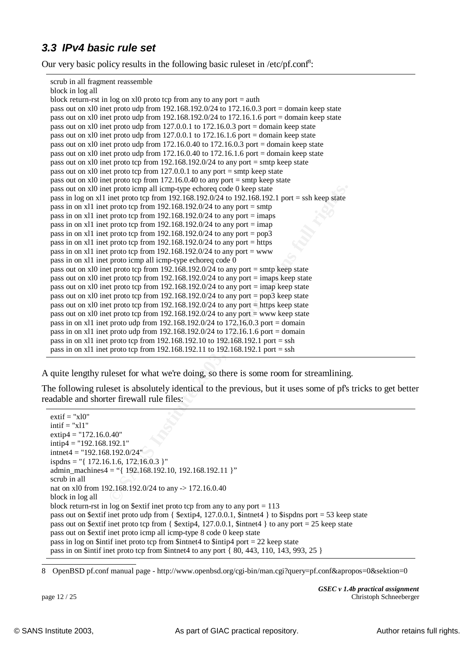### *3.3 IPv4 basic rule set*

Our very basic policy results in the following basic ruleset in /etc/pf.conf<sup>8</sup>:

scrub in all fragment reassemble

| block in log all                                                                                   |
|----------------------------------------------------------------------------------------------------|
| block return-rst in log on $x10$ proto tcp from any to any port = auth                             |
| pass out on xl0 inet proto udp from $192.168.192.0/24$ to $172.16.0.3$ port = domain keep state    |
| pass out on xl0 inet proto udp from $192.168.192.0/24$ to $172.16.1.6$ port = domain keep state    |
| pass out on xl0 inet proto udp from 127.0.0.1 to 172.16.0.3 port = domain keep state               |
| pass out on xl0 inet proto udp from $127.0.0.1$ to $172.16.1.6$ port = domain keep state           |
| pass out on x10 inet proto udp from 172.16.0.40 to 172.16.0.3 port = domain keep state             |
| pass out on x10 inet proto udp from 172.16.0.40 to 172.16.1.6 port = domain keep state             |
| pass out on xl0 inet proto tcp from 192.168.192.0/24 to any port = smtp keep state                 |
| pass out on xl0 inet proto tcp from 127.0.0.1 to any port = smtp keep state                        |
| pass out on xl0 inet proto tcp from 172.16.0.40 to any port = smtp keep state                      |
| pass out on xl0 inet proto icmp all icmp-type echoreq code 0 keep state                            |
| pass in log on x11 inet proto tcp from $192.168.192.0/24$ to $192.168.192.1$ port = ssh keep state |
| pass in on x11 inet proto tcp from 192.168.192.0/24 to any port = smtp                             |
| pass in on x11 inet proto tcp from $192.168.192.0/24$ to any port = imaps                          |
| pass in on x11 inet proto tcp from $192.168.192.0/24$ to any port = imap                           |
| pass in on x11 inet proto tcp from $192.168.192.0/24$ to any port = pop3                           |
| pass in on x11 inet proto tcp from $192.168.192.0/24$ to any port = https                          |
| pass in on x11 inet proto tcp from $192.168.192.0/24$ to any port = www                            |
| pass in on x11 inet proto icmp all icmp-type echoreq code 0                                        |
| pass out on xl0 inet proto tcp from 192.168.192.0/24 to any port = smtp keep state                 |
| pass out on xl0 inet proto tcp from $192.168.192.0/24$ to any port = imaps keep state              |
| pass out on xl0 inet proto tcp from 192.168.192.0/24 to any port = imap keep state                 |
| pass out on xl0 inet proto tcp from 192.168.192.0/24 to any port = $pop3$ keep state               |
| pass out on xl0 inet proto tcp from $192.168.192.0/24$ to any port = https keep state              |
|                                                                                                    |
| pass out on xl0 inet proto tcp from 192.168.192.0/24 to any port = www keep state                  |
| pass in on x11 inet proto udp from $192.168.192.0/24$ to $172.16.0.3$ port = domain                |
| pass in on x11 inet proto udp from $192.168.192.0/24$ to $172.16.1.6$ port = domain                |
| pass in on x11 inet proto tcp from 192.168.192.10 to 192.168.192.1 port = ssh                      |
| pass in on x11 inet proto tcp from 192.168.192.11 to $192.168.192.1$ port = ssh                    |
|                                                                                                    |
| quite lengthy rules et for what we're doing, so there is some room for streamlining.               |
|                                                                                                    |
| he following ruleset is absolutely identical to the previous, but it uses some of pf's trick       |
| adable and shorter firewall rule files:                                                            |
|                                                                                                    |
| $extif = "x10"$                                                                                    |
| $intif = "x11"$                                                                                    |
| $extip4 = "172.16.0.40"$                                                                           |
| $intip4 = "192.168.192.1"$                                                                         |
| $intnet4 = "192.168.192.0/24"$                                                                     |
| ispdns = "{ $172.16.1.6$ , $172.16.0.3$ }"                                                         |
| admin_machines4 = "{ 192.168.192.10, 192.168.192.11 }"                                             |
| scrub in all                                                                                       |
| nat on x10 from 192.168.192.0/24 to any -> 172.16.0.40                                             |
| block in log all                                                                                   |
|                                                                                                    |

The following ruleset is absolutely identical to the previous, but it uses some of pf's tricks to get better readable and shorter firewall rule files:

```
extif = "x10"intif = "x11"extip4 = 172.16.0.40"
intip4 = "192.168.192.1"intnet4 = "192.168.192.0/24"
ispdns = "{ 172.16.1.6, 172.16.0.3 }"
admin_machines4 = "{ 192.168.192.10, 192.168.192.11 }"
scrub in all
nat on xl0 from 192.168.192.0/24 to any -> 172.16.0.40
block in log all
block return-rst in log on $extif inet proto tcp from any to any port = 113
pass out on $extif inet proto udp from { \text{Setrip4, 127.0.0.1, 4} to $ispdns port = 53 keep state
pass out on $extif inet proto tcp from { $extip4, 127.0.0.1, $intnet4 } to any port = 25 keep state
pass out on $extif inet proto icmp all icmp-type 8 code 0 keep state
pass in log on $intif inet proto tcp from $intnet4 to $intip4 port = 22 keep state
pass in on $intif inet proto tcp from $intnet4 to any port \{80, 443, 110, 143, 993, 25\}
```
8 OpenBSD pf.conf manual page - http://www.openbsd.org/cgi-bin/man.cgi?query=pf.conf&apropos=0&sektion=0

*GSEC v 1.4b practical assignment* page 12 / 25 Christoph Schneeberger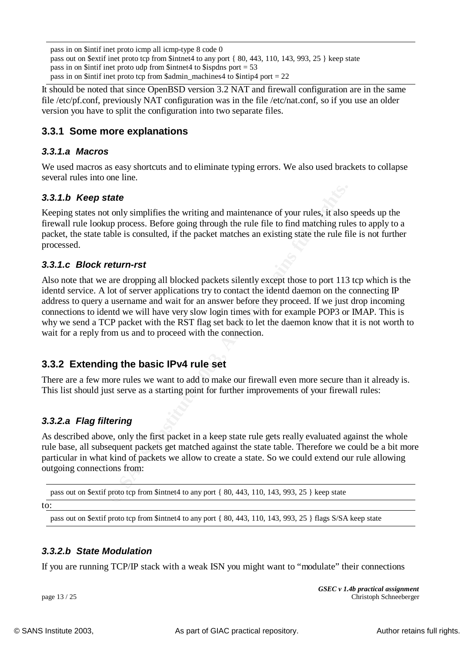pass in on \$intif inet proto icmp all icmp-type 8 code 0 pass out on \$extif inet proto tcp from \$intnet4 to any port { 80, 443, 110, 143, 993, 25 } keep state pass in on  $\sinh$  intifuration in the from  $\sin$  the  $\sin$  the  $\sin$  of  $\sin$  intimetation is positive. pass in on \$intif inet proto tcp from \$admin\_machines4 to \$intip4 port = 22

file /etc/pf.conf, previously NAT configuration was in the file /etc/nat.conf, so if you use an older It should be noted that since OpenBSD version 3.2 NAT and firewall configuration are in the same version you have to split the configuration into two separate files.

### **3.3.1 Some more explanations**

#### *3.3.1.a Macros*

We used macros as easy shortcuts and to eliminate typing errors. We also used brackets to collapse several rules into one line.

#### *3.3.1.b Keep state*

Keeping states not only simplifies the writing and maintenance of your rules, it also speeds up the firewall rule lookup process. Before going through the rule file to find matching rules to apply to a packet, the state table is consulted, if the packet matches an existing state the rule file is not further processed.

#### *3.3.1.c Block return-rst*

tate<br> **COMPLATE CONTE CONTE ALCT CONTE CONTE CONTE CONTE CONTE CONTE TO THE CONTE TO THE TO THE TO THE SOMETHER CONTE<br>
<b>CONTES INSTED EXECUTE CONTE CONTE CONTE CONTE CONTE CONTE CONTE CONTE CONTE ALCT DO TO STEVE A DURE US** Also note that we are dropping all blocked packets silently except those to port 113 tcp which is the identd service. A lot of server applications try to contact the identd daemon on the connecting IP address to query a username and wait for an answer before they proceed. If we just drop incoming connections to identd we will have very slow login times with for example POP3 or IMAP. This is why we send a TCP packet with the RST flag set back to let the daemon know that it is not worth to wait for a reply from us and to proceed with the connection.

### **3.3.2 Extending the basic IPv4 rule set**

There are a few more rules we want to add to make our firewall even more secure than it already is. This list should just serve as a starting point for further improvements of your firewall rules:

#### *3.3.2.a Flag filtering*

As described above, only the first packet in a keep state rule gets really evaluated against the whole rule base, all subsequent packets get matched against the state table. Therefore we could be a bit more particular in what kind of packets we allow to create a state. So we could extend our rule allowing outgoing connections from:

pass out on \$extif proto tcp from \$intnet4 to any port { 80, 443, 110, 143, 993, 25 } keep state

to:

pass out on \$extif proto tcp from \$intnet4 to any port { 80, 443, 110, 143, 993, 25 } flags S/SA keep state

#### *3.3.2.b State Modulation*

If you are running TCP/IP stack with a weak ISN you might want to "modulate" their connections

*GSEC v 1.4b practical assignment* page 13 / 25 Christoph Schneeberger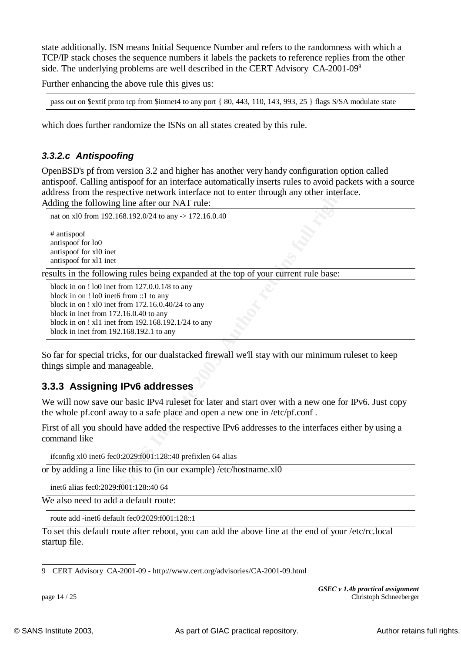state additionally. ISN means Initial Sequence Number and refers to the randomness with which a TCP/IP stack choses the sequence numbers it labels the packets to reference replies from the other side. The underlying problems are well described in the CERT Advisory CA-2001-09<sup>9</sup>

Further enhancing the above rule this gives us:

pass out on \$extif proto tcp from \$intnet4 to any port { 80, 443, 110, 143, 993, 25 } flags S/SA modulate state

which does further randomize the ISNs on all states created by this rule.

#### *3.3.2.c Antispoofing*

OpenBSD's pf from version 3.2 and higher has another very handy configuration option called antispoof. Calling antispoof for an interface automatically inserts rules to avoid packets with a source address from the respective network interface not to enter through any other interface. Adding the following line after our NAT rule:

```
nat on xl0 from 192.168.192.0/24 to any -> 172.16.0.40
```
# antispoof antispoof for lo0 antispoof for xl0 inet antispoof for xl1 inet

results in the following rules being expanded at the top of your current rule base:

**Example 120**<br> **Example 2018**<br> **Example 2018**<br> **CONSTANS INSTER INTER INTER INTEREM AND THE SET UP:**<br> **CONSTANS INSTER 12003/24** to any  $> 172.16.0.40$ <br> **EXAMPLE 2003, AUTHS.**<br> **CONSTANS INTEREM AUTHS.**<br> **CONSTANS INSTERT** block in on ! lo0 inet from 127.0.0.1/8 to any block in on ! lo0 inet6 from ::1 to any block in on ! xl0 inet from 172.16.0.40/24 to any block in inet from 172.16.0.40 to any block in on ! xl1 inet from 192.168.192.1/24 to any block in inet from 192.168.192.1 to any

So far for special tricks, for our dualstacked firewall we'll stay with our minimum ruleset to keep things simple and manageable.

#### **3.3.3 Assigning IPv6 addresses**

We will now save our basic IPv4 ruleset for later and start over with a new one for IPv6. Just copy the whole pf.conf away to a safe place and open a new one in /etc/pf.conf .

First of all you should have added the respective IPv6 addresses to the interfaces either by using a command like

ifconfig xl0 inet6 fec0:2029:f001:128::40 prefixlen 64 alias

or by adding a line like this to (in our example) /etc/hostname.xl0

inet6 alias fec0:2029:f001:128::40 64

We also need to add a default route:

route add -inet6 default fec0:2029:f001:128::1

To set this default route after reboot, you can add the above line at the end of your /etc/rc.local startup file.

9 CERT Advisory CA-2001-09 - http://www.cert.org/advisories/CA-2001-09.html

*GSEC v 1.4b practical assignment* page 14 / 25 Christoph Schneeberger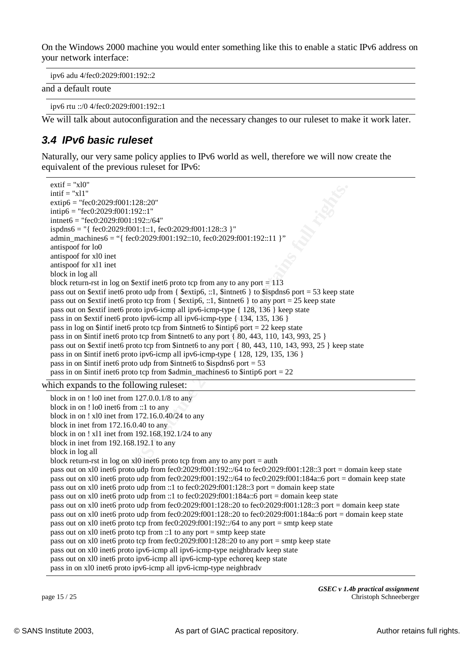On the Windows 2000 machine you would enter something like this to enable a static IPv6 address on your network interface:

ipv6 adu 4/fec0:2029:f001:192::2

and a default route

ipv6 rtu ::/0 4/fec0:2029:f001:192::1

We will talk about autoconfiguration and the necessary changes to our ruleset to make it work later.

### *3.4 IPv6 basic ruleset*

Naturally, our very same policy applies to IPv6 world as well, therefore we will now create the equivalent of the previous ruleset for IPv6:

```
EPACT 1:28::20"<br>
CPACT 1:192::30"<br>
CPACT 1:11: \text{fec0.2029f001:128:3} ]"<br>
CPACT 2003/903/01:192::10<br>
CPACT 1:1: \text{fec0.2029f001:128:13} ]"<br>
EPACT 1:11: \text{fec0.2029f001:192:10}, \text{fec0.2029f001:192:11} 
  extif = "x10"intif = "x11"extip6 = "fec0:2029:f001:128::20"
  intip6 = "fec0:2029:f001:192::1"
  intnet6 = "fec0:2029:f001:192::/64"
  ispdns6 = "{ fec0:2029:f001:1::1, fec0:2029:f001:128::3 }"
  admin_machines6 = "{ fec0:2029:f001:192::10, fec0:2029:f001:192::11 }"
  antispoof for lo0
  antispoof for xl0 inet
  antispoof for xl1 inet
  block in log all
  block return-rst in log on $extif inet6 proto tcp from any to any port = 113pass out on $extif inet6 proto udp from { $extip6, ::1, $intnet6 } to $ispdns6 port = 53 keep state
  pass out on $extif inet6 proto tcp from { $extip6, ::1, $intnet6 } to any port = 25 keep state
  pass out on $extif inet6 proto ipv6-icmp all ipv6-icmp-type { 128, 136 } keep state
  pass in on $extif inet6 proto ipv6-icmp all ipv6-icmp-type { 134, 135, 136 }
  pass in log on $intif inet6 proto tcp from $intnet6 to $intip6 port = 22 keep state
  pass in on $intif inet6 proto tcp from $intnet6 to any port { 80, 443, 110, 143, 993, 25 }
  pass out on $extif inet6 proto tcp from $intnet6 to any port { 80, 443, 110, 143, 993, 25 } keep state
  pass in on $intif inet6 proto ipv6-icmp all ipv6-icmp-type { 128, 129, 135, 136 }
  pass in on $intif inet6 proto udp from $intnet6 to $ispdns6 port = 53
  pass in on $intif inet6 proto tcp from $admin_machines6 to $intip6 port = 22which expands to the following ruleset:
  block in on ! lo0 inet from 127.0.0.1/8 to any
  block in on ! lo0 inet6 from ::1 to any
  block in on ! xl0 inet from 172.16.0.40/24 to any
  block in inet from 172.16.0.40 to any
  block in on ! xl1 inet from 192.168.192.1/24 to any
  block in inet from 192.168.192.1 to any
  block in log all
  block return-rst in log on xl0 inet6 proto tcp from any to any port = auth
  pass out on xl0 inet6 proto udp from fec0:2029:f001:192::/64 to fec0:2029:f001:128::3 port = domain keep state
  pass out on xl0 inet6 proto udp from fec0:2029:f001:192::/64 to fec0:2029:f001:184a::6 port = domain keep state
  pass out on xl0 inet6 proto udp from ::1 to fec0:2029:f001:128::3 port = domain keep state
  pass out on xl0 inet6 proto udp from ::1 to fec0:2029:f001:184a::6 port = domain keep state
  pass out on xl0 inet6 proto udp from fec0:2029:f001:128::20 to fec0:2029:f001:128::3 port = domain keep state
```
pass out on xl0 inet6 proto udp from fec0:2029:f001:128::20 to fec0:2029:f001:184a::6 port = domain keep state

pass out on xl0 inet6 proto tcp from fec0:2029:f001:192::/64 to any port = smtp keep state

pass out on xl0 inet6 proto tcp from ::1 to any port = smtp keep state

pass out on xl0 inet6 proto tcp from fec0:2029:f001:128::20 to any port = smtp keep state

pass out on xl0 inet6 proto ipv6-icmp all ipv6-icmp-type neighbradv keep state

pass out on xl0 inet6 proto ipv6-icmp all ipv6-icmp-type echoreq keep state

pass in on xl0 inet6 proto ipv6-icmp all ipv6-icmp-type neighbradv

*GSEC v 1.4b practical assignment* page 15 / 25 Christoph Schneeberger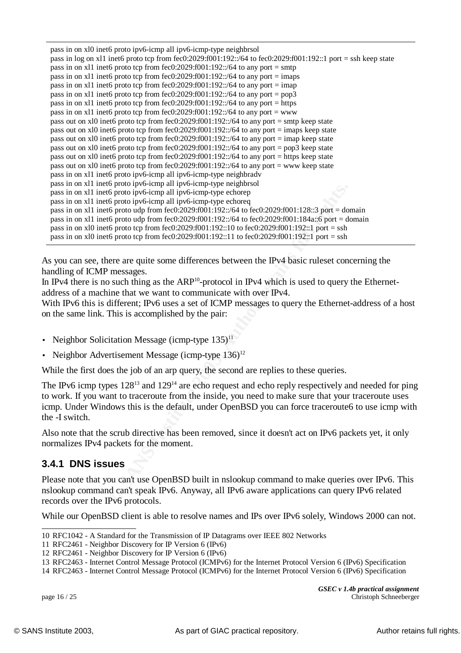| pass in on xl0 inet6 proto ipv6-icmp all ipv6-icmp-type neighbrsol<br>pass in log on x11 inet6 proto tcp from fec0:2029:f001:192::/64 to fec0:2029:f001:192::1 port = ssh keep state<br>pass in on x11 inet6 proto tcp from fec0:2029:f001:192::/64 to any port = smtp<br>pass in on x11 inet6 proto tcp from fec0:2029:f001:192::/64 to any port = imaps<br>pass in on x11 inet6 proto tcp from fec0:2029:f001:192::/64 to any port = imap<br>pass in on x11 inet6 proto tcp from fec0:2029:f001:192::/64 to any port = $pop3$<br>pass in on x11 inet6 proto tcp from fec0:2029:f001:192::/64 to any port = https<br>pass in on x11 inet6 proto tcp from fec0:2029:f001:192::/64 to any port = www<br>pass out on x10 inet6 proto tcp from fec0:2029:f001:192::/64 to any port = smtp keep state<br>pass out on x10 inet6 proto tcp from fec0:2029:f001:192::/64 to any port = imaps keep state<br>pass out on x10 inet6 proto tcp from fec0:2029:f001:192::/64 to any port = imap keep state<br>pass out on x10 inet6 proto tcp from fec0:2029:f001:192::/64 to any port = pop3 keep state<br>pass out on x10 inet6 proto tcp from fec0:2029:f001:192::/64 to any port = https keep state<br>pass out on x10 inet6 proto tcp from fec0:2029:f001:192::/64 to any port = www keep state<br>pass in on x11 inet6 proto ipv6-icmp all ipv6-icmp-type neighbradv<br>pass in on x11 inet6 proto ipv6-icmp all ipv6-icmp-type neighbrsol<br>pass in on x11 inet6 proto ipv6-icmp all ipv6-icmp-type echorep<br>pass in on x11 inet6 proto ipv6-icmp all ipv6-icmp-type echoreq<br>pass in on x11 inet6 proto udp from fec0:2029:f001:192::/64 to fec0:2029:f001:128::3 port = domain<br>pass in on x11 inet6 proto udp from fec0:2029:f001:192::/64 to fec0:2029:f001:184a::6 port = domain<br>pass in on x10 inet6 proto tcp from fec0:2029:f001:192::10 to fec0:2029:f001:192::1 port = ssh<br>pass in on x10 inet6 proto tcp from fec0:2029:f001:192::11 to fec0:2029:f001:192::1 port = ssh<br>is you can see, there are quite some differences between the IPv4 basic rules et concerning the<br>andling of ICMP messages.<br>I IPv4 there is no such thing as the ARP <sup>10</sup> -protocol in IPv4 which is used to query the Ethernet<br>ddress of a machine that we want to communicate with over IPv4.<br>Vith IPv6 this is different; IPv6 uses a set of ICMP messages to query the Ethernet-address of a |
|--------------------------------------------------------------------------------------------------------------------------------------------------------------------------------------------------------------------------------------------------------------------------------------------------------------------------------------------------------------------------------------------------------------------------------------------------------------------------------------------------------------------------------------------------------------------------------------------------------------------------------------------------------------------------------------------------------------------------------------------------------------------------------------------------------------------------------------------------------------------------------------------------------------------------------------------------------------------------------------------------------------------------------------------------------------------------------------------------------------------------------------------------------------------------------------------------------------------------------------------------------------------------------------------------------------------------------------------------------------------------------------------------------------------------------------------------------------------------------------------------------------------------------------------------------------------------------------------------------------------------------------------------------------------------------------------------------------------------------------------------------------------------------------------------------------------------------------------------------------------------------------------------------------------------------------------------------------------------------------------------------------------------------------------------------------------------------------------------------------------------------------------------------------------------------------------------------------------------------------------------------------------------------------------------------------------------------------------------------------------------------------------------------------------|
| in the same link. This is accomplished by the pair:                                                                                                                                                                                                                                                                                                                                                                                                                                                                                                                                                                                                                                                                                                                                                                                                                                                                                                                                                                                                                                                                                                                                                                                                                                                                                                                                                                                                                                                                                                                                                                                                                                                                                                                                                                                                                                                                                                                                                                                                                                                                                                                                                                                                                                                                                                                                                                |
|                                                                                                                                                                                                                                                                                                                                                                                                                                                                                                                                                                                                                                                                                                                                                                                                                                                                                                                                                                                                                                                                                                                                                                                                                                                                                                                                                                                                                                                                                                                                                                                                                                                                                                                                                                                                                                                                                                                                                                                                                                                                                                                                                                                                                                                                                                                                                                                                                    |
| Neighbor Solicitation Message (icmp-type 135) <sup>11</sup>                                                                                                                                                                                                                                                                                                                                                                                                                                                                                                                                                                                                                                                                                                                                                                                                                                                                                                                                                                                                                                                                                                                                                                                                                                                                                                                                                                                                                                                                                                                                                                                                                                                                                                                                                                                                                                                                                                                                                                                                                                                                                                                                                                                                                                                                                                                                                        |
| Neighbor Advertisement Message (icmp-type $136$ ) <sup>12</sup>                                                                                                                                                                                                                                                                                                                                                                                                                                                                                                                                                                                                                                                                                                                                                                                                                                                                                                                                                                                                                                                                                                                                                                                                                                                                                                                                                                                                                                                                                                                                                                                                                                                                                                                                                                                                                                                                                                                                                                                                                                                                                                                                                                                                                                                                                                                                                    |
| While the first does the job of an arp query, the second are replies to these queries.                                                                                                                                                                                                                                                                                                                                                                                                                                                                                                                                                                                                                                                                                                                                                                                                                                                                                                                                                                                                                                                                                                                                                                                                                                                                                                                                                                                                                                                                                                                                                                                                                                                                                                                                                                                                                                                                                                                                                                                                                                                                                                                                                                                                                                                                                                                             |
| The IPv6 icmp types 128 <sup>13</sup> and 129 <sup>14</sup> are echo request and echo reply respectively and needed for<br>o work. If you want to traceroute from the inside, you need to make sure that your traceroute u<br>emp. Under Windows this is the default, under OpenBSD you can force traceroute6 to use icmp<br>ne -I switch.                                                                                                                                                                                                                                                                                                                                                                                                                                                                                                                                                                                                                                                                                                                                                                                                                                                                                                                                                                                                                                                                                                                                                                                                                                                                                                                                                                                                                                                                                                                                                                                                                                                                                                                                                                                                                                                                                                                                                                                                                                                                         |
| Iso note that the scrub directive has been removed, since it doesn't act on IPv6 packets yet, it o<br>ormalizes IPv4 packets for the moment.                                                                                                                                                                                                                                                                                                                                                                                                                                                                                                                                                                                                                                                                                                                                                                                                                                                                                                                                                                                                                                                                                                                                                                                                                                                                                                                                                                                                                                                                                                                                                                                                                                                                                                                                                                                                                                                                                                                                                                                                                                                                                                                                                                                                                                                                       |
| .4.1 DNS issues                                                                                                                                                                                                                                                                                                                                                                                                                                                                                                                                                                                                                                                                                                                                                                                                                                                                                                                                                                                                                                                                                                                                                                                                                                                                                                                                                                                                                                                                                                                                                                                                                                                                                                                                                                                                                                                                                                                                                                                                                                                                                                                                                                                                                                                                                                                                                                                                    |
| lease note that you can't use OpenBSD built in nslookup command to make queries over IPv6.<br>slookup command can't speak IPv6. Anyway, all IPv6 aware applications can query IPv6 relate<br>ecords over the IPv6 protocols.                                                                                                                                                                                                                                                                                                                                                                                                                                                                                                                                                                                                                                                                                                                                                                                                                                                                                                                                                                                                                                                                                                                                                                                                                                                                                                                                                                                                                                                                                                                                                                                                                                                                                                                                                                                                                                                                                                                                                                                                                                                                                                                                                                                       |

With IPv6 this is different; IPv6 uses a set of ICMP messages to query the Ethernet-address of a host on the same link. This is accomplished by the pair:

- Neighbor Solicitation Message (icmp-type  $135$ )<sup>11</sup>
- Neighbor Advertisement Message (icmp-type  $136$ )<sup>12</sup>

The IPv6 icmp types  $128^{13}$  and  $129^{14}$  are echo request and echo reply respectively and needed for ping to work. If you want to traceroute from the inside, you need to make sure that your traceroute uses icmp. Under Windows this is the default, under OpenBSD you can force traceroute6 to use icmp with the -I switch.

Also note that the scrub directive has been removed, since it doesn't act on IPv6 packets yet, it only normalizes IPv4 packets for the moment.

#### **3.4.1 DNS issues**

Please note that you can't use OpenBSD built in nslookup command to make queries over IPv6. This nslookup command can't speak IPv6. Anyway, all IPv6 aware applications can query IPv6 related records over the IPv6 protocols.

While our OpenBSD client is able to resolve names and IPs over IPv6 solely, Windows 2000 can not.

*GSEC v 1.4b practical assignment* page 16 / 25 Christoph Schneeberger

<sup>10</sup> RFC1042 - A Standard for the Transmission of IP Datagrams over IEEE 802 Networks

<sup>11</sup> RFC2461 - Neighbor Discovery for IP Version 6 (IPv6)

<sup>12</sup> RFC2461 - Neighbor Discovery for IP Version 6 (IPv6)

<sup>13</sup> RFC2463 - Internet Control Message Protocol (ICMPv6) for the Internet Protocol Version 6 (IPv6) Specification

<sup>14</sup> RFC2463 - Internet Control Message Protocol (ICMPv6) for the Internet Protocol Version 6 (IPv6) Specification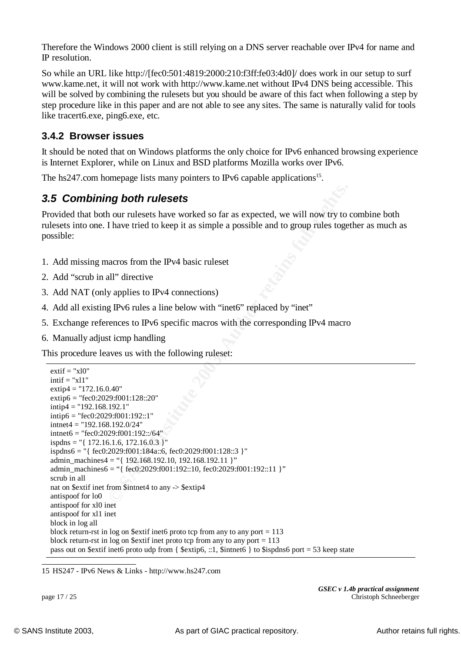Therefore the Windows 2000 client is still relying on a DNS server reachable over IPv4 for name and IP resolution.

key procedure like in this paper and are not able to see any sites. The same is naturally valid for tools So while an URL like http://[fec0:501:4819:2000:210:f3ff:fe03:4d0]/ does work in our setup to surf www.kame.net, it will not work with http://www.kame.net without IPv4 DNS being accessible. This will be solved by combining the rulesets but you should be aware of this fact when following a step by like tracert6.exe, ping6.exe, etc.

### **3.4.2 Browser issues**

It should be noted that on Windows platforms the only choice for IPv6 enhanced browsing experience is Internet Explorer, while on Linux and BSD platforms Mozilla works over IPv6.

The hs247.com homepage lists many pointers to IPv6 capable applications<sup>15</sup>.

### *3.5 Combining both rulesets*

Provided that both our rulesets have worked so far as expected, we will now try to combine both rulesets into one. I have tried to keep it as simple a possible and to group rules together as much as possible:

- 1. Add missing macros from the IPv4 basic ruleset
- 2. Add "scrub in all" directive
- 3. Add NAT (only applies to IPv4 connections)
- 4. Add all existing IPv6 rules a line below with "inet6" replaced by "inet"
- 5. Exchange references to IPv6 specific macros with the corresponding IPv4 macro
- 6. Manually adjust icmp handling

This procedure leaves us with the following ruleset:

```
ng both rulesets<br>
n our rulesets have worked so far as expected, we will now try to<br>
thave tried to keep it as simple a possible and to group rules toget<br>
nacros from the IPv4 basic ruleset<br>
all" directive<br>
y applies to 
extif = "x10"intif = "x11"extip4 = "172.16.0.40"extip6 = "fec0:2029:f001:128::20"
intip4 = "192.168.192.1"intip6 = "fec0:2029:f001:192::1"
intnet4 = "192.168.192.0/24"intnet6 = "fec0:2029:f001:192::/64"
ispdns = "{172.16.1.6, 172.16.0.3 }"
ispdns6 = "{ fec0:2029:f001:184a::6, fec0:2029:f001:128::3 }"
admin_machines4 = "{ 192.168.192.10, 192.168.192.11 }"
admin_machines6 = "{ fec0:2029:f001:192::10, fec0:2029:f001:192::11 }"
scrub in all
nat on $extif inet from $intnet4 to any -> $extip4
antispoof for lo0
antispoof for xl0 inet
antispoof for xl1 inet
block in log all
block return-rst in log on $extif inet6 proto tcp from any to any port = 113block return-rst in log on $extif inet proto tcp from any to any port = 113pass out on $extif inet6 proto udp from { $extip6, ::1, $intnet6 } to $ispdns6 port = 53 keep state
```
15 HS247 - IPv6 News & Links - http://www.hs247.com

*GSEC v 1.4b practical assignment* page 17 / 25 Christoph Schneeberger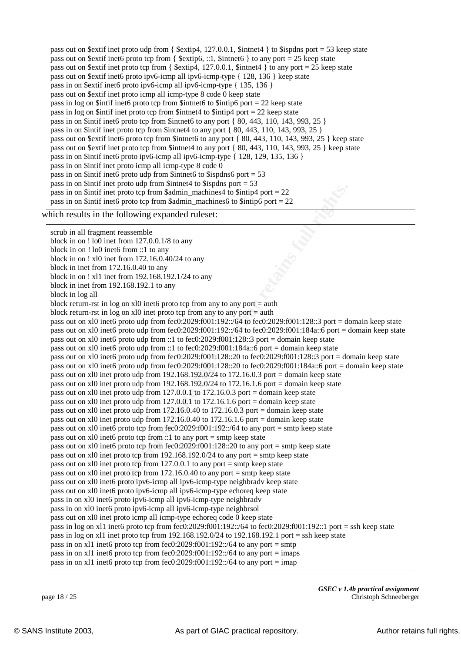| pass out on \$extif inet proto udp from { \$extip4, 127.0.0.1, \$intnet4 } to \$ispdns port = 53 keep state     |
|-----------------------------------------------------------------------------------------------------------------|
| pass out on \$extif inet6 proto tcp from { \$extip6, ::1, \$intnet6 } to any port = 25 keep state               |
| pass out on \$extif inet proto tcp from { \$extip4, 127.0.0.1, \$intermole 3 to any port = 25 keep state        |
| pass out on \$extif inet6 proto ipv6-icmp all ipv6-icmp-type { 128, 136 } keep state                            |
| pass in on \$extif inet6 proto ipv6-icmp all ipv6-icmp-type { 135, 136 }                                        |
| pass out on \$extif inet proto icmp all icmp-type 8 code 0 keep state                                           |
| pass in log on \$intif inet6 proto tcp from \$intnet6 to \$intip6 port = 22 keep state                          |
| pass in log on \$intif inet proto tcp from \$intnet4 to \$intip4 port $= 22$ keep state                         |
| pass in on \$intif inet6 proto tcp from \$intnet6 to any port {80, 443, 110, 143, 993, 25 }                     |
| pass in on \$intif inet proto tcp from \$intnet4 to any port {80, 443, 110, 143, 993, 25 }                      |
| pass out on \$extif inet6 proto tcp from \$intnet6 to any port {80, 443, 110, 143, 993, 25 } keep state         |
| pass out on \$extif inet proto tcp from \$intnet4 to any port {80, 443, 110, 143, 993, 25 } keep state          |
| pass in on \$intif inet6 proto ipv6-icmp all ipv6-icmp-type { 128, 129, 135, 136 }                              |
| pass in on \$intif inet proto icmp all icmp-type 8 code 0                                                       |
| pass in on \$intif inet6 proto udp from \$intnet6 to \$ispdns6 port = $53$                                      |
| pass in on \$intif inet proto udp from \$intnet4 to \$ispdns port = $53$                                        |
| pass in on \$intif inet proto tcp from \$admin_machines4 to \$intip4 port $= 22$                                |
| pass in on \$intif inet6 proto tcp from \$admin_machines6 to \$intip6 port $= 22$                               |
| which results in the following expanded ruleset:                                                                |
|                                                                                                                 |
| scrub in all fragment reassemble                                                                                |
| block in on $!100$ inet from $127.0.0.1/8$ to any                                                               |
| block in on ! lo0 inet6 from ::1 to any                                                                         |
| block in on $!$ xl0 inet from 172.16.0.40/24 to any                                                             |
| block in inet from $172.16.0.40$ to any                                                                         |
| block in on ! xl1 inet from 192.168.192.1/24 to any                                                             |
| block in inet from $192.168.192.1$ to any                                                                       |
| block in log all                                                                                                |
| block return-rst in log on $x10$ inet 6 proto tcp from any to any port = auth                                   |
| block return-rst in log on $x10$ inet proto tcp from any to any port = auth                                     |
| pass out on xl0 inet6 proto udp from fec0:2029:f001:192::/64 to fec0:2029:f001:128::3 port = domain keep state  |
| pass out on x10 inet6 proto udp from fec0:2029:f001:192::/64 to fec0:2029:f001:184a::6 port = domain keep state |
| pass out on xl0 inet6 proto udp from ::1 to fec0:2029:f001:128::3 port = domain keep state                      |
| pass out on x10 inet6 proto udp from ::1 to fec0:2029:f001:184a::6 port = domain keep state                     |
| pass out on xl0 inet6 proto udp from fec0:2029:f001:128::20 to fec0:2029:f001:128::3 port = domain keep state   |
| pass out on xl0 inet6 proto udp from fec0:2029:f001:128::20 to fec0:2029:f001:184a::6 port = domain keep state  |
| pass out on xl0 inet proto udp from 192.168.192.0/24 to 172.16.0.3 port = domain keep state                     |
| pass out on xl0 inet proto udp from $192.168.192.0/24$ to $172.16.1.6$ port = domain keep state                 |
| pass out on x10 inet proto udp from 127.0.0.1 to 172.16.0.3 port = domain keep state                            |
| pass out on xl0 inet proto udp from 127.0.0.1 to 172.16.1.6 port = domain keep state                            |
| pass out on x10 inet proto udp from $172.16.0.40$ to $172.16.0.3$ port = domain keep state                      |
| pass out on x10 inet proto udp from $172.16.0.40$ to $172.16.1.6$ port = domain keep state                      |
| pass out on x10 inet6 proto tcp from fee0:2029:f001:192::/64 to any port = smtp keep state                      |
| pass out on xl0 inet6 proto tcp from ::1 to any port = smtp keep state                                          |
| pass out on x10 inet6 proto tcp from fec0:2029:f001:128::20 to any port = smtp keep state                       |
| pass out on xl0 inet proto tcp from $192.168.192.0/24$ to any port = smtp keep state                            |
| pass out on xl0 inet proto tcp from 127.0.0.1 to any port = smtp keep state                                     |
| pass out on x10 inet proto tcp from 172.16.0.40 to any port = smtp keep state                                   |
| pass out on xl0 inet6 proto ipv6-icmp all ipv6-icmp-type neighbradv keep state                                  |
| pass out on xl0 inet6 proto ipv6-icmp all ipv6-icmp-type echoreq keep state                                     |
| pass in on x10 inet6 proto ipv6-icmp all ipv6-icmp-type neighbradv                                              |

pass in on xl0 inet6 proto ipv6-icmp all ipv6-icmp-type neighbrsol

pass out on xl0 inet proto icmp all icmp-type echoreq code 0 keep state

pass in log on xl1 inet6 proto tcp from fec0:2029:f001:192::/64 to fec0:2029:f001:192::1 port = ssh keep state

pass in log on xl1 inet proto tcp from 192.168.192.0/24 to 192.168.192.1 port = ssh keep state

pass in on x11 inet6 proto tcp from fec0:2029:f001:192::/64 to any port = smtp

pass in on x11 inet6 proto tcp from fec0:2029:f001:192::/64 to any port = imaps

pass in on x11 inet6 proto tcp from fec0:2029:f001:192::/64 to any port = imap

*GSEC v 1.4b practical assignment* page 18 / 25 Christoph Schneeberger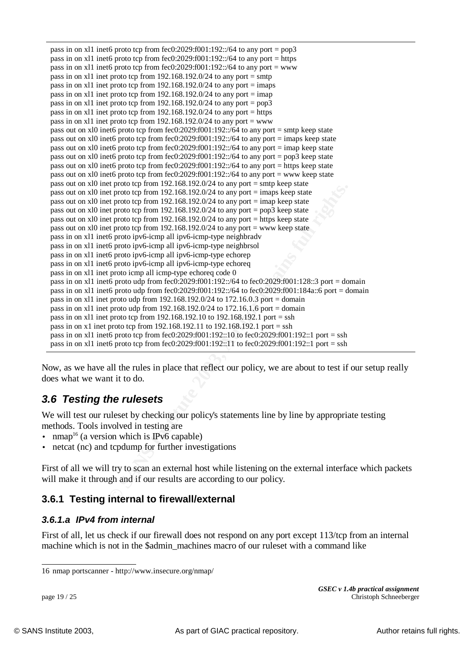**EVENT ON THE 2008 ISON THE 2008 ISON THE SANS ISON THE SANS ISON THE SANS ISON THE SANS ISON THE SANS ISON THE SANS ISON THE SANS ISON THE SANS ISON THE SANS ISON THE SANS ISON THE SANS ISON THE SANS ISON THE SANS ISON TH** pass in on X<sub>11</sub> inet proto tcp from 192.168.192.0/24 to any port =  $\frac{\text{mfp}}{\text{mfp}}$  pass in on x<sub>11</sub> inet proto tcp from 192.168.192.0/24 to any port =  $\frac{\text{mfp}}{\text{mfp}}$ pass in on x11 inet6 proto tcp from fec0:2029:f001:192::/64 to any port = pop3 pass in on x11 inet6 proto tcp from fec $0:2029:1001:192::/64$  to any port = https pass in on xl1 inet6 proto tcp from fec0:2029:f001:192::/64 to any port  $=$  www pass in on xl1 inet proto tcp from  $192.168.192.0/24$  to any port = smtp pass in on x11 inet proto tcp from  $192.168.192.0/24$  to any port = imaps pass in on x11 inet proto tcp from  $192.168.192.0/24$  to any port = imap pass in on x11 inet proto tcp from  $192.168.192.0/24$  to any port = https pass in on x11 inet proto tcp from  $192.168.192.0/24$  to any port = www pass out on xl0 inet6 proto tcp from fec0:2029:f001:192::/64 to any port = smtp keep state pass out on xl0 inet6 proto tcp from fec0:2029:f001:192::/64 to any port = imaps keep state pass out on xl0 inet6 proto tcp from fec0:2029:f001:192::/64 to any port = imap keep state pass out on xl0 inet6 proto tcp from fec0:2029:f001:192::/64 to any port = pop3 keep state pass out on xl0 inet6 proto tcp from fec0:2029:f001:192::/64 to any port = https keep state pass out on xl0 inet6 proto tcp from fec0:2029:f001:192::/64 to any port = www keep state pass out on xl0 inet proto tcp from 192.168.192.0/24 to any port = smtp keep state pass out on xl0 inet proto tcp from 192.168.192.0/24 to any port = imaps keep state pass out on xl0 inet proto tcp from  $192.168.192.0/24$  to any port = imap keep state pass out on xl0 inet proto tcp from 192.168.192.0/24 to any port = pop3 keep state pass out on xl0 inet proto tcp from  $192.168.192.0/24$  to any port = https keep state pass out on xl0 inet proto tcp from  $192.168.192.0/24$  to any port = www keep state pass in on xl1 inet6 proto ipv6-icmp all ipv6-icmp-type neighbradv pass in on xl1 inet6 proto ipv6-icmp all ipv6-icmp-type neighbrsol pass in on xl1 inet6 proto ipv6-icmp all ipv6-icmp-type echorep pass in on xl1 inet6 proto ipv6-icmp all ipv6-icmp-type echoreq pass in on xl1 inet proto icmp all icmp-type echoreq code 0 pass in on xl1 inet6 proto udp from fec0:2029:f001:192::/64 to fec0:2029:f001:128::3 port = domain pass in on x11 inet6 proto udp from fec0:2029:f001:192::/64 to fec0:2029:f001:184a::6 port = domain pass in on xl1 inet proto udp from 192.168.192.0/24 to 172.16.0.3 port = domain pass in on x11 inet proto udp from  $192.168.192.0/24$  to  $172.16.1.6$  port = domain pass in on xl1 inet proto tcp from 192.168.192.10 to 192.168.192.1 port = ssh pass in on x1 inet proto tcp from 192.168.192.11 to 192.168.192.1 port = ssh pass in on x11 inet6 proto tcp from fec0:2029:f001:192::10 to fec0:2029:f001:192::1 port = ssh pass in on x11 inet6 proto tcp from fec0:2029:f001:192::11 to fec0:2029:f001:192::1 port = ssh

Now, as we have all the rules in place that reflect our policy, we are about to test if our setup really does what we want it to do.

### *3.6 Testing the rulesets*

We will test our ruleset by checking our policy's statements line by line by appropriate testing methods. Tools involved in testing are

- nmap<sup>16</sup> (a version which is IPv6 capable)
- netcat (nc) and tcpdump for further investigations

First of all we will try to scan an external host while listening on the external interface which packets will make it through and if our results are according to our policy.

### **3.6.1 Testing internal to firewall/external**

#### *3.6.1.a IPv4 from internal*

First of all, let us check if our firewall does not respond on any port except 113/tcp from an internal machine which is not in the \$admin\_machines macro of our ruleset with a command like

*GSEC v 1.4b practical assignment* page 19 / 25 Christoph Schneeberger

<sup>16</sup> nmap portscanner - http://www.insecure.org/nmap/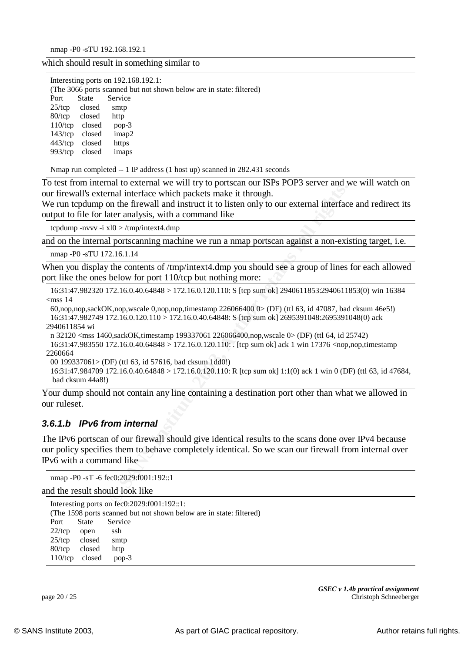nmap -P0 -sTU 192.168.192.1

which should result in something similar to

|            | Interesting ports on $192.168.192.1$ : |                   |                                                                     |  |  |
|------------|----------------------------------------|-------------------|---------------------------------------------------------------------|--|--|
|            |                                        |                   | (The 3066 ports scanned but not shown below are in state: filtered) |  |  |
| Port       | State                                  | Service           |                                                                     |  |  |
| $25$ /tcp  | closed                                 | smtp              |                                                                     |  |  |
| $80$ /tcp  | closed                                 | http              |                                                                     |  |  |
| $110$ /tcp | closed                                 | $pop-3$           |                                                                     |  |  |
| $143$ /tcp | closed                                 | imap <sub>2</sub> |                                                                     |  |  |
| $443$ /tcp | closed                                 | https             |                                                                     |  |  |
| $993$ /tcp | closed                                 | imaps             |                                                                     |  |  |
|            |                                        |                   |                                                                     |  |  |

Nmap run completed -- 1 IP address (1 host up) scanned in 282.431 seconds

To test from internal to external we will try to portscan our ISPs POP3 server and we will watch on our firewall's external interface which packets make it through.

We run tcpdump on the firewall and instruct it to listen only to our external interface and redirect its output to file for later analysis, with a command like

tcpdump -nvvv -i xl0 > /tmp/intext4.dmp

and on the internal portscanning machine we run a nmap portscan against a non-existing target, i.e.

nmap -P0 -sTU 172.16.1.14

When you display the contents of /tmp/intext4.dmp you should see a group of lines for each allowed port like the ones below for port 110/tcp but nothing more:

16:31:47.982320 172.16.0.40.64848 > 172.16.0.120.110: S [tcp sum ok] 2940611853:2940611853(0) win 16384  $<$ mss 14

60,nop,nop,sackOK,nop,wscale 0,nop,nop,timestamp 226066400 0> (DF) (ttl 63, id 47087, bad cksum 46e5!) 16:31:47.982749 172.16.0.120.110 > 172.16.0.40.64848: S [tcp sum ok] 2695391048:2695391048(0) ack 2940611854 wi

n 32120 <mss 1460,sackOK,timestamp 199337061 226066400,nop,wscale 0> (DF) (ttl 64, id 25742)

16:31:47.983550 172.16.0.40.64848 > 172.16.0.120.110: . [tcp sum ok] ack 1 win 17376 <nop,nop,timestamp 2260664

00 199337061> (DF) (ttl 63, id 57616, bad cksum 1dd0!)

16:31:47.984709 172.16.0.40.64848 > 172.16.0.120.110: R [tcp sum ok] 1:1(0) ack 1 win 0 (DF) (ttl 63, id 47684, bad cksum 44a8!)

Your dump should not contain any line containing a destination port other than what we allowed in our ruleset.

#### *3.6.1.b IPv6 from internal*

and interface which packets make it through.<br>
Final interface which packets make it through.<br> **EVALUATE INTERFACE TRANS IS AND A CONSTANT AND THE CONSTANT ON A CONSTANT AND INTERFACE analysis, with a command like<br>**  $R = 80$ The IPv6 portscan of our firewall should give identical results to the scans done over IPv4 because our policy specifies them to behave completely identical. So we scan our firewall from internal over IPv6 with a command like

```
nmap -P0 -sT -6 fec0:2029:f001:192::1
```
and the result should look like

| Interesting ports on fec0:2029:f001:192::1: |                                                                     |         |  |  |
|---------------------------------------------|---------------------------------------------------------------------|---------|--|--|
|                                             | (The 1598 ports scanned but not shown below are in state: filtered) |         |  |  |
|                                             | Port State Service                                                  |         |  |  |
| $22$ /tcp                                   | open                                                                | ssh     |  |  |
|                                             | $25/\text{top}$ closed                                              | smtp    |  |  |
|                                             | 80/tcp closed                                                       | http    |  |  |
|                                             | $110/\text{top}$ closed                                             | $pop-3$ |  |  |

*GSEC v 1.4b practical assignment* page 20 / 25 Christoph Schneeberger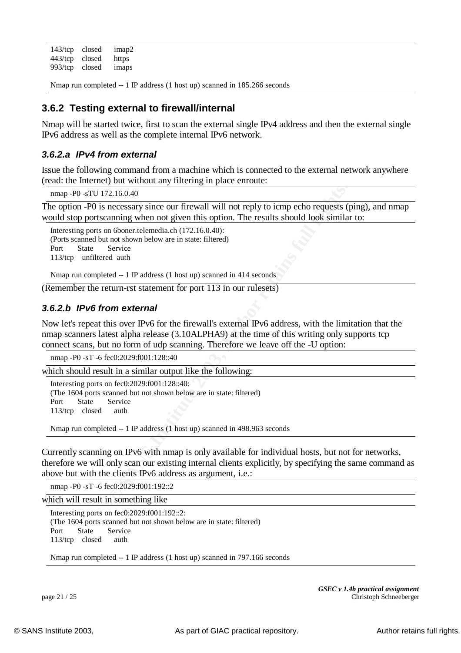143/tcp closed imap2 443/tcp closed https 993/tcp closed imaps

Nmap run completed -- 1 IP address (1 host up) scanned in 185.266 seconds

#### $\mathcal{L} = \mathcal{L} \mathcal{L} \mathcal{L} \mathcal{L} \mathcal{L} \mathcal{L} \mathcal{L} \mathcal{L} \mathcal{L} \mathcal{L} \mathcal{L} \mathcal{L} \mathcal{L} \mathcal{L} \mathcal{L} \mathcal{L} \mathcal{L} \mathcal{L} \mathcal{L} \mathcal{L} \mathcal{L} \mathcal{L} \mathcal{L} \mathcal{L} \mathcal{L} \mathcal{L} \mathcal{L} \mathcal{L} \mathcal{L} \mathcal{L} \mathcal{L} \mathcal{L} \mathcal{L} \mathcal{L} \mathcal{L} \mathcal$ **3.6.2 Testing external to firewall/internal**

Nmap will be started twice, first to scan the external single IPv4 address and then the external single IPv6 address as well as the complete internal IPv6 network.

#### *3.6.2.a IPv4 from external*

Issue the following command from a machine which is connected to the external network anywhere (read: the Internet) but without any filtering in place enroute:

nmap -P0 -sTU 172.16.0.40

The option -P0 is necessary since our firewall will not reply to icmp echo requests (ping), and nmap would stop portscanning when not given this option. The results should look similar to:

Interesting ports on 6boner.telemedia.ch (172.16.0.40): (Ports scanned but not shown below are in state: filtered) Port State Service 113/tcp unfiltered auth

Nmap run completed -- 1 IP address (1 host up) scanned in 414 seconds

(Remember the return-rst statement for port 113 in our rulesets)

#### *3.6.2.b IPv6 from external*

Now let's repeat this over IPv6 for the firewall's external IPv6 address, with the limitation that the nmap scanners latest alpha release (3.10ALPHA9) at the time of this writing only supports tcp connect scans, but no form of udp scanning. Therefore we leave off the -U option:

nmap -P0 -sT -6 fec0:2029:f001:128::40

which should result in a similar output like the following:

Interesting ports on fec0:2029:f001:128::40: (The 1604 ports scanned but not shown below are in state: filtered) Port State Service 113/tcp closed auth

Nmap run completed -- 1 IP address (1 host up) scanned in 498.963 seconds

2.16.0.40<br> **EXECUS INTERENT CONTENT CONSECUTE:**<br> **EXECUTE AUTOMOTE AUTOMOTE AUTOMOTE AUTOMOTE AUTOMOTE AUTOMOTE AUTOMOTE AUTOMOTE AUTOMOTE IN THE AUTOMOTE AUTOMOTED SET IN 2013 AUTOMOTED AUTOMOTED AUTOMOTED AUTOMOTED AND A** Currently scanning on IPv6 with nmap is only available for individual hosts, but not for networks, therefore we will only scan our existing internal clients explicitly, by specifying the same command as above but with the clients IPv6 address as argument, i.e.:

nmap -P0 -sT -6 fec0:2029:f001:192::2

which will result in something like

Interesting ports on fec0:2029:f001:192::2: (The 1604 ports scanned but not shown below are in state: filtered) Port State Service 113/tcp closed auth

Nmap run completed -- 1 IP address (1 host up) scanned in 797.166 seconds

*GSEC v 1.4b practical assignment* page 21 / 25 Christoph Schneeberger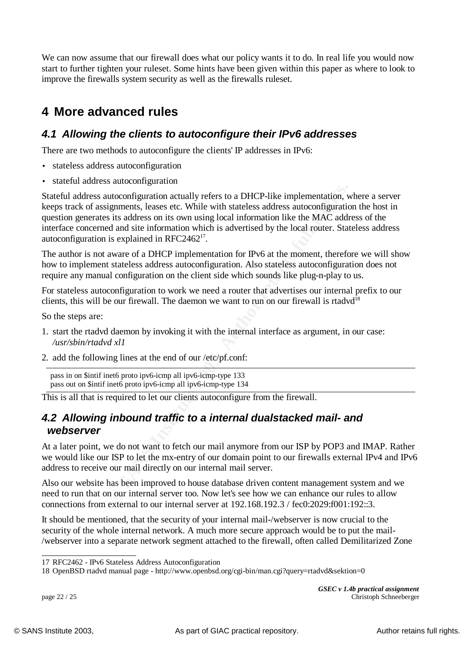We can now assume that our firewall does what our policy wants it to do. In real life you would now start to further tighten your ruleset. Some hints have been given within this paper as where to look to improve the firewalls system security as well as the firewalls ruleset.

# **4 More advanced rules**

### *4.1 Allowing the clients to autoconfigure their IPv6 addresses*

There are two methods to autoconfigure the clients' IP addresses in IPv6:

- stateless address autoconfiguration
- stateful address autoconfiguration

utoconfiguration actually refers to a DHCP-like implementation, uginments, leases etc. While with stateless address autoconfiguration<br>is its address on its own using local information like the MAC address<br>is explained in R Stateful address autoconfiguration actually refers to a DHCP-like implementation, where a server keeps track of assignments, leases etc. While with stateless address autoconfiguration the host in question generates its address on its own using local information like the MAC address of the interface concerned and site information which is advertised by the local router. Stateless address autoconfiguration is explained in RFC2462<sup>17</sup>.

The author is not aware of a DHCP implementation for IPv6 at the moment, therefore we will show how to implement stateless address autoconfiguration. Also stateless autoconfiguration does not require any manual configuration on the client side which sounds like plug-n-play to us.

For stateless autoconfiguration to work we need a router that advertises our internal prefix to our clients, this will be our firewall. The daemon we want to run on our firewall is rtadvd<sup>18</sup>

So the steps are:

- 1. start the rtadvd daemon by invoking it with the internal interface as argument, in our case: */usr/sbin/rtadvd xl1*
- 2. add the following lines at the end of our /etc/pf.conf:

pass in on \$intif inet6 proto ipv6-icmp all ipv6-icmp-type 133 pass out on \$intif inet6 proto ipv6-icmp all ipv6-icmp-type 134

This is all that is required to let our clients autoconfigure from the firewall.

### *4.2 Allowing inbound traffic to a internal dualstacked mail- and webserver*

At a later point, we do not want to fetch our mail anymore from our ISP by POP3 and IMAP. Rather we would like our ISP to let the mx-entry of our domain point to our firewalls external IPv4 and IPv6 address to receive our mail directly on our internal mail server.

Also our website has been improved to house database driven content management system and we need to run that on our internal server too. Now let's see how we can enhance our rules to allow connections from external to our internal server at 192.168.192.3 / fec0:2029:f001:192::3.

It should be mentioned, that the security of your internal mail-/webserver is now crucial to the security of the whole internal network. A much more secure approach would be to put the mail- /webserver into a separate network segment attached to the firewall, often called Demilitarized Zone

*GSEC v 1.4b practical assignment* page 22 / 25 Christoph Schneeberger

<sup>17</sup> RFC2462 - IPv6 Stateless Address Autoconfiguration

<sup>18</sup> OpenBSD rtadvd manual page - http://www.openbsd.org/cgi-bin/man.cgi?query=rtadvd&sektion=0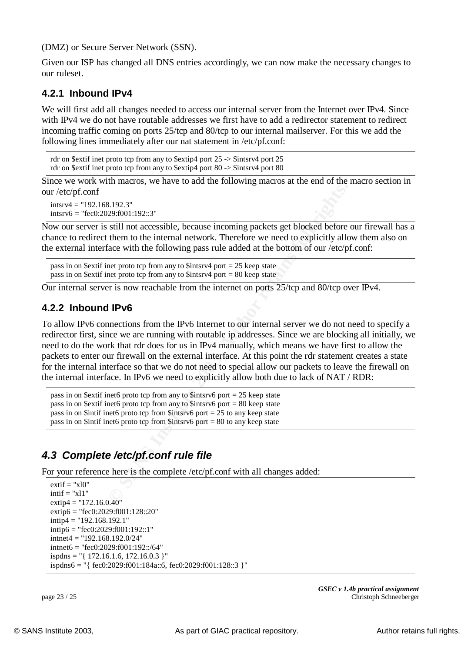(DMZ) or Secure Server Network (SSN).

Given our ISP has changed all DNS entries accordingly, we can now make the necessary changes to our ruleset.

#### $\frac{K}{2}$  Fa27  $\frac{K}{2}$  Fa27 2F94 9989 Fa37 2F94 9980 Fa37 2F94 9980 Fa37 2F94  $\frac{K}{2}$ **4.2.1 Inbound IPv4**

We will first add all changes needed to access our internal server from the Internet over IPv4. Since with IPv4 we do not have routable addresses we first have to add a redirector statement to redirect incoming traffic coming on ports 25/tcp and 80/tcp to our internal mailserver. For this we add the following lines immediately after our nat statement in /etc/pf.conf:

```
rdr on $extif inet proto tcp from any to $extip4 port 25 -> $intsrv4 port 25
rdr on $extif inet proto tcp from any to $extip4 port 80 -> $intsrv4 port 80
```
Since we work with macros, we have to add the following macros at the end of the macro section in our /etc/pf.conf

```
intsrv4 = "192.168.192.3"intsrv6 = "fec0:2029:f001:192::3"
```
Now our server is still not accessible, because incoming packets get blocked before our firewall has a chance to redirect them to the internal network. Therefore we need to explicitly allow them also on the external interface with the following pass rule added at the bottom of our /etc/pf.conf:

```
pass in on $extif inet proto tcp from any to $intsr4 port = 25 keep state
pass in on $extif inet proto tcp from any to $intsrv4 port = 80 keep state
```
Our internal server is now reachable from the internet on ports 25/tcp and 80/tcp over IPv4.

#### **4.2.2 Inbound IPv6**

8.192.3"<br>
29:001:192::3"<br>
29:001:192::3"<br>
29:001:192::3"<br>
39:001:192::3"<br>
39:001:192::3"<br>
39:001:192::3"<br>
29:001:192::3"<br>
29:001:192::3"<br>
29:001:192::3"<br>
20:00:00:16 many to Sintsrv4 port = 25 keep state<br>
20:00:00:00:00 m To allow IPv6 connections from the IPv6 Internet to our internal server we do not need to specify a redirector first, since we are running with routable ip addresses. Since we are blocking all initially, we need to do the work that rdr does for us in IPv4 manually, which means we have first to allow the packets to enter our firewall on the external interface. At this point the rdr statement creates a state for the internal interface so that we do not need to special allow our packets to leave the firewall on the internal interface. In IPv6 we need to explicitly allow both due to lack of NAT / RDR:

pass in on \$extif inet6 proto tcp from any to \$intsrv6 port  $= 25$  keep state pass in on \$extif inet6 proto tcp from any to \$intsrv6 port = 80 keep state pass in on \$intif inet6 proto tcp from \$intsrv6 port  $= 25$  to any keep state pass in on \$intif inet6 proto tcp from \$intsrv6 port  $= 80$  to any keep state

### *4.3 Complete /etc/pf.conf rule file*

For your reference here is the complete /etc/pf.conf with all changes added:

```
extif = "x10"intif = "x11"extip4 = "172.16.0.40"extip6 = "fec0:2029:f001:128::20"
intip4 = "192.168.192.1"
intip6 = "fec0:2029:f001:192::1"
intnet4 = "192.168.192.0/24"intnet6 = "fec0:2029:f001:192::/64"
ispths = "{ 172.16.1.6, 172.16.0.3 } "ispdns6 = "{ fec0:2029:f001:184a::6, fec0:2029:f001:128::3 }"
```
*GSEC v 1.4b practical assignment* page 23 / 25 Christoph Schneeberger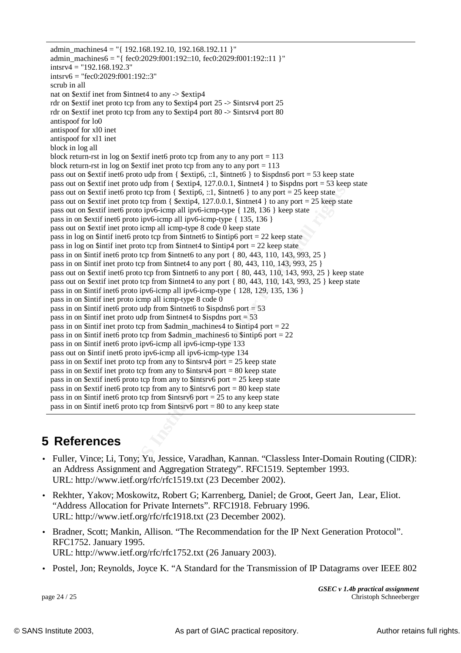**© SANS Institute 2003, Author retains full rights.** Fraction sexter increases the  $\frac{m}{2}$   $\frac{m}{2}$   $\frac{m}{2}$   $\frac{m}{2}$  from any to \$extip4 port 25 -> \$intsrv4 port 25 admin\_machines4 = " ${192.168.192.10, 192.168.192.11 }$ " admin\_machines6 = "{ fec0:2029:f001:192::10, fec0:2029:f001:192::11 }"  $intsrv4 = "192.168.192.3"$  $intsrv6 = "fec0:2029:f001:192::3"$ scrub in all nat on \$extif inet from \$intnet4 to any -> \$extip4 rdr on \$extif inet proto tcp from any to \$extip4 port 80 -> \$intsrv4 port 80 antispoof for lo0 antispoof for xl0 inet antispoof for xl1 inet block in log all block return-rst in log on \$extif inet6 proto tcp from any to any port = 113 block return-rst in log on \$extif inet proto tcp from any to any port = 113 pass out on \$extif inet6 proto udp from {  $$extip6$ , ::1, \$intnet6 } to \$ispdns6 port = 53 keep state pass out on \$extif inet proto udp from {  $$extip4, 127.0.0.1, $intnet4$  } to \$ispdns port = 53 keep state pass out on \$extif inet6 proto tcp from {  $$extip6, ::1$, $intnet6 }$  to any port = 25 keep state pass out on \$extif inet proto tcp from {  $$extip4, 127.0.0.1, $intnet4$  } to any port = 25 keep state pass out on \$extif inet6 proto ipv6-icmp all ipv6-icmp-type { 128, 136 } keep state pass in on \$extif inet6 proto ipv6-icmp all ipv6-icmp-type { 135, 136 } pass out on \$extif inet proto icmp all icmp-type 8 code 0 keep state pass in log on \$intif inet6 proto tcp from \$intnet6 to \$intip6 port = 22 keep state pass in log on \$intif inet proto tcp from \$intnet4 to \$intip4 port  $= 22$  keep state pass in on \$intif inet6 proto tcp from \$intnet6 to any port { 80, 443, 110, 143, 993, 25 } pass in on \$intif inet proto tcp from \$intnet4 to any port { 80, 443, 110, 143, 993, 25 } pass out on \$extif inet6 proto tcp from \$intnet6 to any port { 80, 443, 110, 143, 993, 25 } keep state pass out on \$extif inet proto tcp from \$intnet4 to any port { 80, 443, 110, 143, 993, 25 } keep state pass in on \$intif inet6 proto ipv6-icmp all ipv6-icmp-type { 128, 129, 135, 136 } pass in on \$intif inet proto icmp all icmp-type 8 code 0 pass in on \$intif inet6 proto udp from \$intnet6 to \$ispdns6 port = 53 pass in on \$intif inet proto udp from \$intnet4 to \$ispdns port = 53 pass in on \$intif inet proto tcp from \$admin\_machines4 to \$intip4 port =  $22$ pass in on \$intif inet6 proto tcp from \$admin\_machines6 to \$intip6 port = 22 pass in on \$intif inet6 proto ipv6-icmp all ipv6-icmp-type 133 pass out on \$intif inet6 proto ipv6-icmp all ipv6-icmp-type 134 pass in on \$extif inet proto tcp from any to \$intsrv4 port = 25 keep state pass in on \$extif inet proto tcp from any to \$intsrv4 port = 80 keep state pass in on \$extif inet6 proto tcp from any to \$intsrv6 port  $= 25$  keep state pass in on \$extif inet6 proto tcp from any to \$intsrv6 port = 80 keep state pass in on \$intif inet6 proto tcp from \$intsrv6 port  $= 25$  to any keep state pass in on \$intif inet6 proto tcp from \$intsrv6 port = 80 to any keep state

# **5 References**

- Fuller, Vince; Li, Tony; Yu, Jessice, Varadhan, Kannan. "Classless Inter-Domain Routing (CIDR): an Address Assignment and Aggregation Strategy". RFC1519. September 1993. URL: http://www.ietf.org/rfc/rfc1519.txt (23 December 2002).
- Rekhter, Yakov; Moskowitz, Robert G; Karrenberg, Daniel; de Groot, Geert Jan, Lear, Eliot. "Address Allocation for Private Internets". RFC1918. February 1996. URL: http://www.ietf.org/rfc/rfc1918.txt (23 December 2002).
- Bradner, Scott; Mankin, Allison. "The Recommendation for the IP Next Generation Protocol". RFC1752. January 1995. URL: http://www.ietf.org/rfc/rfc1752.txt (26 January 2003).
- Postel, Jon; Reynolds, Joyce K. "A Standard for the Transmission of IP Datagrams over IEEE 802

*GSEC v 1.4b practical assignment* page 24 / 25 Christoph Schneeberger